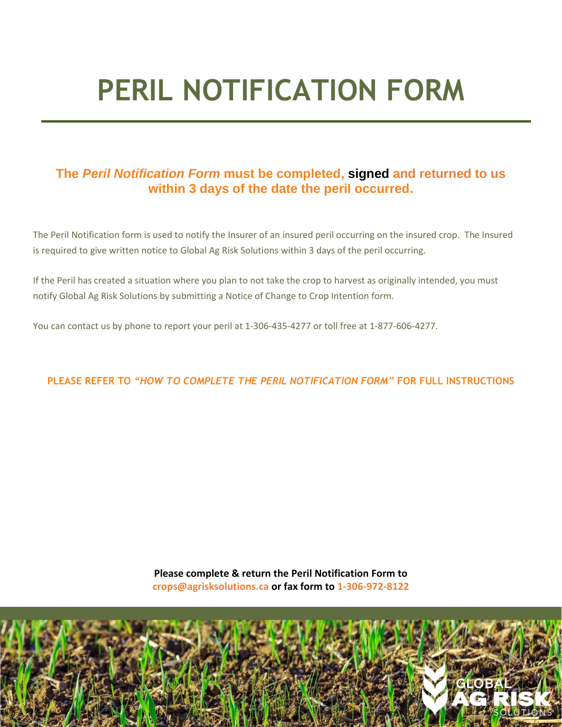# **PERIL NOTIFICATION FORM**

## **The** *Peril Notification Form* **must be completed, signed and returned to us within 3 days of the date the peril occurred.**

The Peril Notification form is used to notify the Insurer of an insured peril occurring on the insured crop. The Insured is required to give written notice to Global Ag Risk Solutions within 3 days of the peril occurring.

If the Peril has created a situation where you plan to not take the crop to harvest as originally intended, you must notify Global Ag Risk Solutions by submitting a Notice of Change to Crop Intention form.

You can contact us by phone to report your peril at 1-306-435-4277 or toll free at 1-877-606-4277.

**PLEASE REFER TO** *"HOW TO COMPLETE THE PERIL NOTIFICATION FORM"* **FOR FULL INSTRUCTIONS**

**Please complete & return the Peril Notification Form to crops@agrisksolutions.ca or fax form to 1-306-972-8122**

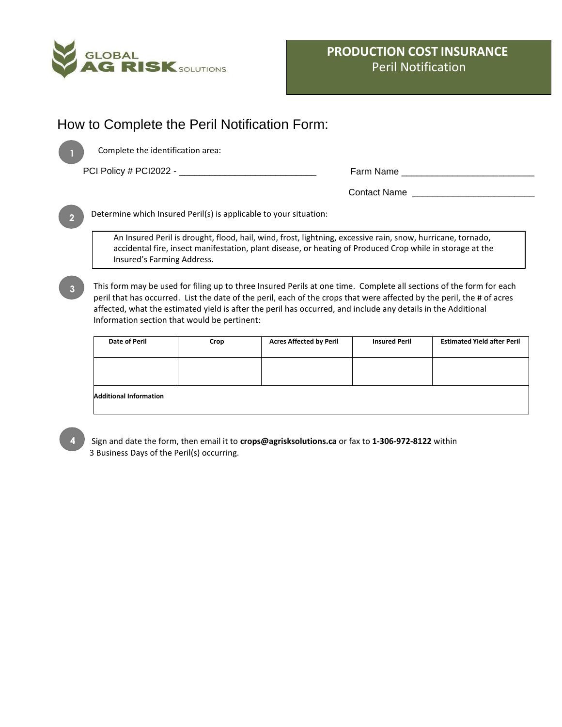

# How to Complete the Peril Notification Form:



Complete the identification area:

PCI Policy # PCI2022 - \_\_\_\_\_\_\_\_\_\_\_\_\_\_\_\_\_\_\_\_\_\_\_\_\_\_\_ Farm Name \_\_\_\_\_\_\_\_\_\_\_\_\_\_\_\_\_\_\_\_\_\_\_\_\_\_

Contact Name \_\_\_\_\_\_\_\_\_\_\_\_\_\_\_\_\_\_\_\_\_\_\_\_

Determine which Insured Peril(s) is applicable to your situation:

An Insured Peril is drought, flood, hail, wind, frost, lightning, excessive rain, snow, hurricane, tornado, accidental fire, insect manifestation, plant disease, or heating of Produced Crop while in storage at the Insured's Farming Address.

**3**

**2**

This form may be used for filing up to three Insured Perils at one time. Complete all sections of the form for each peril that has occurred. List the date of the peril, each of the crops that were affected by the peril, the # of acres affected, what the estimated yield is after the peril has occurred, and include any details in the Additional Information section that would be pertinent:

| Crop | <b>Acres Affected by Peril</b> | <b>Insured Peril</b> | <b>Estimated Yield after Peril</b> |
|------|--------------------------------|----------------------|------------------------------------|
|      |                                |                      |                                    |
|      |                                |                      |                                    |
|      |                                |                      |                                    |
|      |                                |                      |                                    |
|      |                                |                      |                                    |
|      |                                |                      |                                    |

Sign and date the form, then email it to **crops@agrisksolutions.ca** or fax to **1-306-972-8122** within 3 Business Days of the Peril(s) occurring.